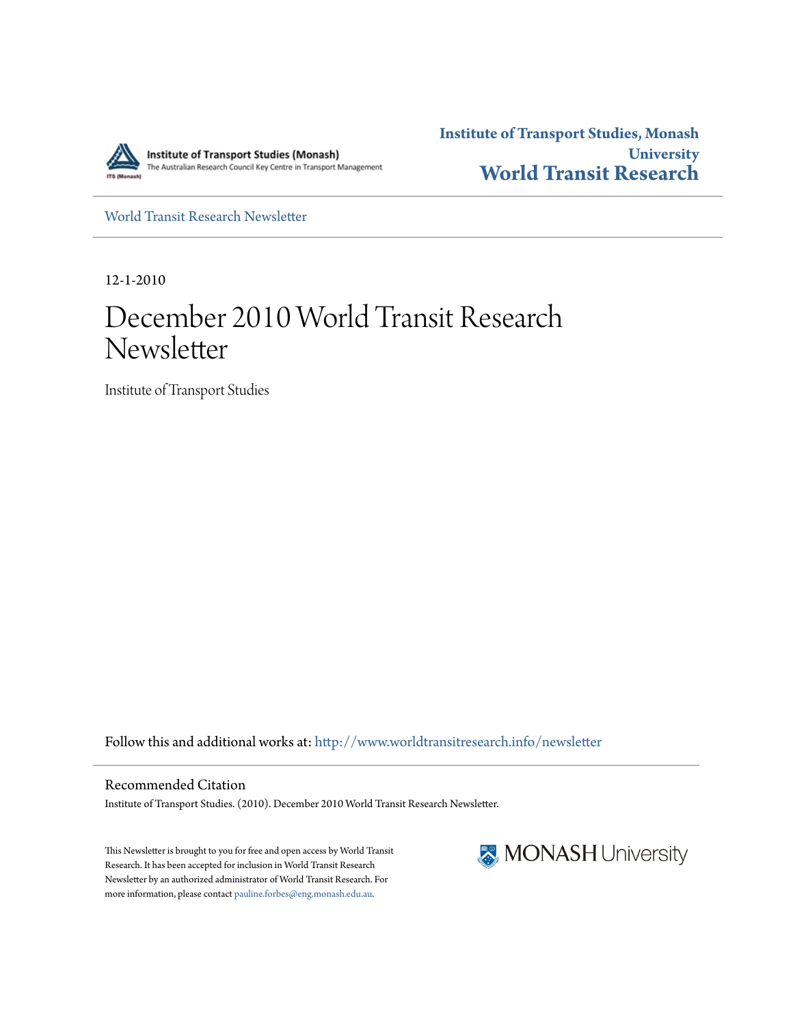

**Institute of Transport Studies, Monash University [World Transit Research](http://www.worldtransitresearch.info?utm_source=www.worldtransitresearch.info%2Fnewsletter%2F4&utm_medium=PDF&utm_campaign=PDFCoverPages)**

[World Transit Research Newsletter](http://www.worldtransitresearch.info/newsletter?utm_source=www.worldtransitresearch.info%2Fnewsletter%2F4&utm_medium=PDF&utm_campaign=PDFCoverPages)

12-1-2010

## December 2010 World Transit Research Newsletter

Institute of Transport Studies

Follow this and additional works at: [http://www.worldtransitresearch.info/newsletter](http://www.worldtransitresearch.info/newsletter?utm_source=www.worldtransitresearch.info%2Fnewsletter%2F4&utm_medium=PDF&utm_campaign=PDFCoverPages)

Recommended Citation Institute of Transport Studies. (2010). December 2010 World Transit Research Newsletter.

This Newsletter is brought to you for free and open access by World Transit Research. It has been accepted for inclusion in World Transit Research Newsletter by an authorized administrator of World Transit Research. For more information, please contact [pauline.forbes@eng.monash.edu.au](mailto:pauline.forbes@eng.monash.edu.au).

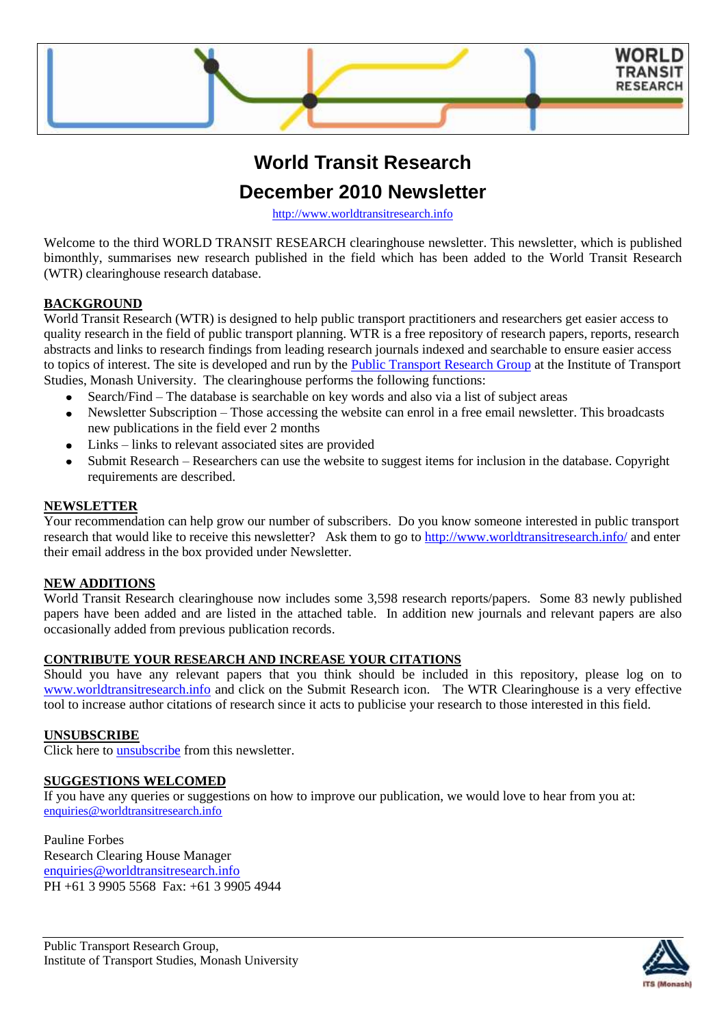

### **World Transit Research**

### **December 2010 Newsletter**

[http://www.worldtransitresearch.info](http://www.worldtransitresearch.info/)

Welcome to the third WORLD TRANSIT RESEARCH clearinghouse newsletter. This newsletter, which is published bimonthly, summarises new research published in the field which has been added to the World Transit Research (WTR) clearinghouse research database.

#### **BACKGROUND**

World Transit Research (WTR) is designed to help public transport practitioners and researchers get easier access to quality research in the field of public transport planning. WTR is a free repository of research papers, reports, research abstracts and links to research findings from leading research journals indexed and searchable to ensure easier access to topics of interest. The site is developed and run by the [Public Transport Research Group](http://eng.monash.edu.au/civil/research/centres/its/research-activities/public-transport-planning.html) at the Institute of Transport Studies, Monash University. The clearinghouse performs the following functions:

- Search/Find The database is searchable on key words and also via a list of subject areas
- Newsletter Subscription Those accessing the website can enrol in a free email newsletter. This broadcasts  $\bullet$ new publications in the field ever 2 months
- Links links to relevant associated sites are provided
- Submit Research Researchers can use the website to suggest items for inclusion in the database. Copyright requirements are described.

#### **NEWSLETTER**

Your recommendation can help grow our number of subscribers. Do you know someone interested in public transport research that would like to receive this newsletter? Ask them to go to<http://www.worldtransitresearch.info/> and enter their email address in the box provided under Newsletter.

#### **NEW ADDITIONS**

World Transit Research clearinghouse now includes some 3,598 research reports/papers. Some 83 newly published papers have been added and are listed in the attached table. In addition new journals and relevant papers are also occasionally added from previous publication records.

#### **CONTRIBUTE YOUR RESEARCH AND INCREASE YOUR CITATIONS**

Should you have any relevant papers that you think should be included in this repository, please log on to [www.worldtransitresearch.info](http://www.worldtransitresearch.info/) and click on the Submit Research icon. The WTR Clearinghouse is a very effective tool to increase author citations of research since it acts to publicise your research to those interested in this field.

#### **UNSUBSCRIBE**

Click here to [unsubscribe](http://www.worldtransitresearch.info/) from this newsletter.

#### **SUGGESTIONS WELCOMED**

If you have any queries or suggestions on how to improve our publication, we would love to hear from you at: [enquiries@worldtransitresearch.info](mailto:enquiries@worldtransitresearch.info)

Pauline Forbes Research Clearing House Manager [enquiries@worldtransitresearch.info](mailto:enquiries@worldtransitresearch.info) PH +61 3 9905 5568 Fax: +61 3 9905 4944

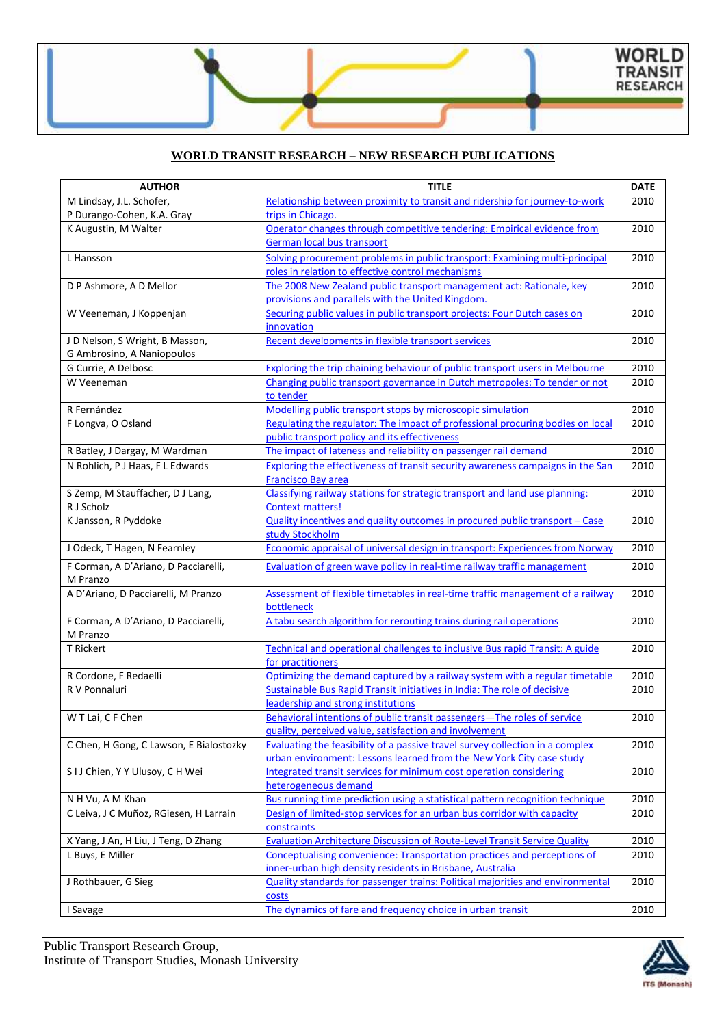#### **WORLD TRANSIT RESEARCH – NEW RESEARCH PUBLICATIONS**

| M Lindsay, J.L. Schofer,<br>Relationship between proximity to transit and ridership for journey-to-work<br>2010<br>P Durango-Cohen, K.A. Gray<br>trips in Chicago.<br>Operator changes through competitive tendering: Empirical evidence from<br>K Augustin, M Walter<br>2010<br>German local bus transport<br>Solving procurement problems in public transport: Examining multi-principal<br>2010<br>L Hansson<br>roles in relation to effective control mechanisms<br>The 2008 New Zealand public transport management act: Rationale, key<br>D P Ashmore, A D Mellor<br>2010<br>provisions and parallels with the United Kingdom.<br>W Veeneman, J Koppenjan<br>Securing public values in public transport projects: Four Dutch cases on<br>2010<br>innovation<br>Recent developments in flexible transport services<br>J D Nelson, S Wright, B Masson,<br>2010<br>G Ambrosino, A Naniopoulos<br>Exploring the trip chaining behaviour of public transport users in Melbourne<br>G Currie, A Delbosc<br>2010<br>Changing public transport governance in Dutch metropoles: To tender or not<br>2010<br>W Veeneman<br>to tender<br>Modelling public transport stops by microscopic simulation<br>2010<br>R Fernández<br>Regulating the regulator: The impact of professional procuring bodies on local<br>F Longva, O Osland<br>2010<br>public transport policy and its effectiveness<br>The impact of lateness and reliability on passenger rail demand<br>2010<br>R Batley, J Dargay, M Wardman<br>N Rohlich, P J Haas, F L Edwards<br>Exploring the effectiveness of transit security awareness campaigns in the San<br>2010<br><b>Francisco Bay area</b><br>S Zemp, M Stauffacher, D J Lang,<br>Classifying railway stations for strategic transport and land use planning:<br>2010<br>R J Scholz<br><b>Context matters!</b><br>K Jansson, R Pyddoke<br>Quality incentives and quality outcomes in procured public transport - Case<br>2010<br>study Stockholm<br>2010<br>J Odeck, T Hagen, N Fearnley<br>Economic appraisal of universal design in transport: Experiences from Norway<br>2010<br>F Corman, A D'Ariano, D Pacciarelli,<br>Evaluation of green wave policy in real-time railway traffic management<br>M Pranzo<br>A D'Ariano, D Pacciarelli, M Pranzo<br>Assessment of flexible timetables in real-time traffic management of a railway<br>2010<br>bottleneck<br>F Corman, A D'Ariano, D Pacciarelli,<br>A tabu search algorithm for rerouting trains during rail operations<br>2010<br>M Pranzo<br>T Rickert<br>Technical and operational challenges to inclusive Bus rapid Transit: A guide<br>2010<br>for practitioners<br>Optimizing the demand captured by a railway system with a regular timetable<br>R Cordone, F Redaelli<br>2010<br>Sustainable Bus Rapid Transit initiatives in India: The role of decisive<br>R V Ponnaluri<br>2010<br>leadership and strong institutions<br>W T Lai, C F Chen<br>Behavioral intentions of public transit passengers-The roles of service<br>2010<br>quality, perceived value, satisfaction and involvement<br>C Chen, H Gong, C Lawson, E Bialostozky<br>Evaluating the feasibility of a passive travel survey collection in a complex<br>2010<br>urban environment: Lessons learned from the New York City case study<br>SIJ Chien, Y Y Ulusoy, C H Wei<br>Integrated transit services for minimum cost operation considering<br>2010<br>heterogeneous demand<br>Bus running time prediction using a statistical pattern recognition technique<br>N H Vu, A M Khan<br>2010<br>C Leiva, J C Muñoz, RGiesen, H Larrain<br>Design of limited-stop services for an urban bus corridor with capacity<br>2010<br>constraints<br>X Yang, J An, H Liu, J Teng, D Zhang<br>Evaluation Architecture Discussion of Route-Level Transit Service Quality<br>2010 | <b>AUTHOR</b>    | <b>TITLE</b>                                                             | <b>DATE</b> |
|-----------------------------------------------------------------------------------------------------------------------------------------------------------------------------------------------------------------------------------------------------------------------------------------------------------------------------------------------------------------------------------------------------------------------------------------------------------------------------------------------------------------------------------------------------------------------------------------------------------------------------------------------------------------------------------------------------------------------------------------------------------------------------------------------------------------------------------------------------------------------------------------------------------------------------------------------------------------------------------------------------------------------------------------------------------------------------------------------------------------------------------------------------------------------------------------------------------------------------------------------------------------------------------------------------------------------------------------------------------------------------------------------------------------------------------------------------------------------------------------------------------------------------------------------------------------------------------------------------------------------------------------------------------------------------------------------------------------------------------------------------------------------------------------------------------------------------------------------------------------------------------------------------------------------------------------------------------------------------------------------------------------------------------------------------------------------------------------------------------------------------------------------------------------------------------------------------------------------------------------------------------------------------------------------------------------------------------------------------------------------------------------------------------------------------------------------------------------------------------------------------------------------------------------------------------------------------------------------------------------------------------------------------------------------------------------------------------------------------------------------------------------------------------------------------------------------------------------------------------------------------------------------------------------------------------------------------------------------------------------------------------------------------------------------------------------------------------------------------------------------------------------------------------------------------------------------------------------------------------------------------------------------------------------------------------------------------------------------------------------------------------------------------------------------------------------------------------------------------------------------------------------------------------------------------------------------------------------------------------------------------------------------------------------------------------------------------------------------------------------------------------------------------------------------------------------------|------------------|--------------------------------------------------------------------------|-------------|
|                                                                                                                                                                                                                                                                                                                                                                                                                                                                                                                                                                                                                                                                                                                                                                                                                                                                                                                                                                                                                                                                                                                                                                                                                                                                                                                                                                                                                                                                                                                                                                                                                                                                                                                                                                                                                                                                                                                                                                                                                                                                                                                                                                                                                                                                                                                                                                                                                                                                                                                                                                                                                                                                                                                                                                                                                                                                                                                                                                                                                                                                                                                                                                                                                                                                                                                                                                                                                                                                                                                                                                                                                                                                                                                                                                                                                       |                  |                                                                          |             |
|                                                                                                                                                                                                                                                                                                                                                                                                                                                                                                                                                                                                                                                                                                                                                                                                                                                                                                                                                                                                                                                                                                                                                                                                                                                                                                                                                                                                                                                                                                                                                                                                                                                                                                                                                                                                                                                                                                                                                                                                                                                                                                                                                                                                                                                                                                                                                                                                                                                                                                                                                                                                                                                                                                                                                                                                                                                                                                                                                                                                                                                                                                                                                                                                                                                                                                                                                                                                                                                                                                                                                                                                                                                                                                                                                                                                                       |                  |                                                                          |             |
|                                                                                                                                                                                                                                                                                                                                                                                                                                                                                                                                                                                                                                                                                                                                                                                                                                                                                                                                                                                                                                                                                                                                                                                                                                                                                                                                                                                                                                                                                                                                                                                                                                                                                                                                                                                                                                                                                                                                                                                                                                                                                                                                                                                                                                                                                                                                                                                                                                                                                                                                                                                                                                                                                                                                                                                                                                                                                                                                                                                                                                                                                                                                                                                                                                                                                                                                                                                                                                                                                                                                                                                                                                                                                                                                                                                                                       |                  |                                                                          |             |
|                                                                                                                                                                                                                                                                                                                                                                                                                                                                                                                                                                                                                                                                                                                                                                                                                                                                                                                                                                                                                                                                                                                                                                                                                                                                                                                                                                                                                                                                                                                                                                                                                                                                                                                                                                                                                                                                                                                                                                                                                                                                                                                                                                                                                                                                                                                                                                                                                                                                                                                                                                                                                                                                                                                                                                                                                                                                                                                                                                                                                                                                                                                                                                                                                                                                                                                                                                                                                                                                                                                                                                                                                                                                                                                                                                                                                       |                  |                                                                          |             |
|                                                                                                                                                                                                                                                                                                                                                                                                                                                                                                                                                                                                                                                                                                                                                                                                                                                                                                                                                                                                                                                                                                                                                                                                                                                                                                                                                                                                                                                                                                                                                                                                                                                                                                                                                                                                                                                                                                                                                                                                                                                                                                                                                                                                                                                                                                                                                                                                                                                                                                                                                                                                                                                                                                                                                                                                                                                                                                                                                                                                                                                                                                                                                                                                                                                                                                                                                                                                                                                                                                                                                                                                                                                                                                                                                                                                                       |                  |                                                                          |             |
|                                                                                                                                                                                                                                                                                                                                                                                                                                                                                                                                                                                                                                                                                                                                                                                                                                                                                                                                                                                                                                                                                                                                                                                                                                                                                                                                                                                                                                                                                                                                                                                                                                                                                                                                                                                                                                                                                                                                                                                                                                                                                                                                                                                                                                                                                                                                                                                                                                                                                                                                                                                                                                                                                                                                                                                                                                                                                                                                                                                                                                                                                                                                                                                                                                                                                                                                                                                                                                                                                                                                                                                                                                                                                                                                                                                                                       |                  |                                                                          |             |
|                                                                                                                                                                                                                                                                                                                                                                                                                                                                                                                                                                                                                                                                                                                                                                                                                                                                                                                                                                                                                                                                                                                                                                                                                                                                                                                                                                                                                                                                                                                                                                                                                                                                                                                                                                                                                                                                                                                                                                                                                                                                                                                                                                                                                                                                                                                                                                                                                                                                                                                                                                                                                                                                                                                                                                                                                                                                                                                                                                                                                                                                                                                                                                                                                                                                                                                                                                                                                                                                                                                                                                                                                                                                                                                                                                                                                       |                  |                                                                          |             |
|                                                                                                                                                                                                                                                                                                                                                                                                                                                                                                                                                                                                                                                                                                                                                                                                                                                                                                                                                                                                                                                                                                                                                                                                                                                                                                                                                                                                                                                                                                                                                                                                                                                                                                                                                                                                                                                                                                                                                                                                                                                                                                                                                                                                                                                                                                                                                                                                                                                                                                                                                                                                                                                                                                                                                                                                                                                                                                                                                                                                                                                                                                                                                                                                                                                                                                                                                                                                                                                                                                                                                                                                                                                                                                                                                                                                                       |                  |                                                                          |             |
|                                                                                                                                                                                                                                                                                                                                                                                                                                                                                                                                                                                                                                                                                                                                                                                                                                                                                                                                                                                                                                                                                                                                                                                                                                                                                                                                                                                                                                                                                                                                                                                                                                                                                                                                                                                                                                                                                                                                                                                                                                                                                                                                                                                                                                                                                                                                                                                                                                                                                                                                                                                                                                                                                                                                                                                                                                                                                                                                                                                                                                                                                                                                                                                                                                                                                                                                                                                                                                                                                                                                                                                                                                                                                                                                                                                                                       |                  |                                                                          |             |
|                                                                                                                                                                                                                                                                                                                                                                                                                                                                                                                                                                                                                                                                                                                                                                                                                                                                                                                                                                                                                                                                                                                                                                                                                                                                                                                                                                                                                                                                                                                                                                                                                                                                                                                                                                                                                                                                                                                                                                                                                                                                                                                                                                                                                                                                                                                                                                                                                                                                                                                                                                                                                                                                                                                                                                                                                                                                                                                                                                                                                                                                                                                                                                                                                                                                                                                                                                                                                                                                                                                                                                                                                                                                                                                                                                                                                       |                  |                                                                          |             |
|                                                                                                                                                                                                                                                                                                                                                                                                                                                                                                                                                                                                                                                                                                                                                                                                                                                                                                                                                                                                                                                                                                                                                                                                                                                                                                                                                                                                                                                                                                                                                                                                                                                                                                                                                                                                                                                                                                                                                                                                                                                                                                                                                                                                                                                                                                                                                                                                                                                                                                                                                                                                                                                                                                                                                                                                                                                                                                                                                                                                                                                                                                                                                                                                                                                                                                                                                                                                                                                                                                                                                                                                                                                                                                                                                                                                                       |                  |                                                                          |             |
|                                                                                                                                                                                                                                                                                                                                                                                                                                                                                                                                                                                                                                                                                                                                                                                                                                                                                                                                                                                                                                                                                                                                                                                                                                                                                                                                                                                                                                                                                                                                                                                                                                                                                                                                                                                                                                                                                                                                                                                                                                                                                                                                                                                                                                                                                                                                                                                                                                                                                                                                                                                                                                                                                                                                                                                                                                                                                                                                                                                                                                                                                                                                                                                                                                                                                                                                                                                                                                                                                                                                                                                                                                                                                                                                                                                                                       |                  |                                                                          |             |
|                                                                                                                                                                                                                                                                                                                                                                                                                                                                                                                                                                                                                                                                                                                                                                                                                                                                                                                                                                                                                                                                                                                                                                                                                                                                                                                                                                                                                                                                                                                                                                                                                                                                                                                                                                                                                                                                                                                                                                                                                                                                                                                                                                                                                                                                                                                                                                                                                                                                                                                                                                                                                                                                                                                                                                                                                                                                                                                                                                                                                                                                                                                                                                                                                                                                                                                                                                                                                                                                                                                                                                                                                                                                                                                                                                                                                       |                  |                                                                          |             |
|                                                                                                                                                                                                                                                                                                                                                                                                                                                                                                                                                                                                                                                                                                                                                                                                                                                                                                                                                                                                                                                                                                                                                                                                                                                                                                                                                                                                                                                                                                                                                                                                                                                                                                                                                                                                                                                                                                                                                                                                                                                                                                                                                                                                                                                                                                                                                                                                                                                                                                                                                                                                                                                                                                                                                                                                                                                                                                                                                                                                                                                                                                                                                                                                                                                                                                                                                                                                                                                                                                                                                                                                                                                                                                                                                                                                                       |                  |                                                                          |             |
|                                                                                                                                                                                                                                                                                                                                                                                                                                                                                                                                                                                                                                                                                                                                                                                                                                                                                                                                                                                                                                                                                                                                                                                                                                                                                                                                                                                                                                                                                                                                                                                                                                                                                                                                                                                                                                                                                                                                                                                                                                                                                                                                                                                                                                                                                                                                                                                                                                                                                                                                                                                                                                                                                                                                                                                                                                                                                                                                                                                                                                                                                                                                                                                                                                                                                                                                                                                                                                                                                                                                                                                                                                                                                                                                                                                                                       |                  |                                                                          |             |
|                                                                                                                                                                                                                                                                                                                                                                                                                                                                                                                                                                                                                                                                                                                                                                                                                                                                                                                                                                                                                                                                                                                                                                                                                                                                                                                                                                                                                                                                                                                                                                                                                                                                                                                                                                                                                                                                                                                                                                                                                                                                                                                                                                                                                                                                                                                                                                                                                                                                                                                                                                                                                                                                                                                                                                                                                                                                                                                                                                                                                                                                                                                                                                                                                                                                                                                                                                                                                                                                                                                                                                                                                                                                                                                                                                                                                       |                  |                                                                          |             |
|                                                                                                                                                                                                                                                                                                                                                                                                                                                                                                                                                                                                                                                                                                                                                                                                                                                                                                                                                                                                                                                                                                                                                                                                                                                                                                                                                                                                                                                                                                                                                                                                                                                                                                                                                                                                                                                                                                                                                                                                                                                                                                                                                                                                                                                                                                                                                                                                                                                                                                                                                                                                                                                                                                                                                                                                                                                                                                                                                                                                                                                                                                                                                                                                                                                                                                                                                                                                                                                                                                                                                                                                                                                                                                                                                                                                                       |                  |                                                                          |             |
|                                                                                                                                                                                                                                                                                                                                                                                                                                                                                                                                                                                                                                                                                                                                                                                                                                                                                                                                                                                                                                                                                                                                                                                                                                                                                                                                                                                                                                                                                                                                                                                                                                                                                                                                                                                                                                                                                                                                                                                                                                                                                                                                                                                                                                                                                                                                                                                                                                                                                                                                                                                                                                                                                                                                                                                                                                                                                                                                                                                                                                                                                                                                                                                                                                                                                                                                                                                                                                                                                                                                                                                                                                                                                                                                                                                                                       |                  |                                                                          |             |
|                                                                                                                                                                                                                                                                                                                                                                                                                                                                                                                                                                                                                                                                                                                                                                                                                                                                                                                                                                                                                                                                                                                                                                                                                                                                                                                                                                                                                                                                                                                                                                                                                                                                                                                                                                                                                                                                                                                                                                                                                                                                                                                                                                                                                                                                                                                                                                                                                                                                                                                                                                                                                                                                                                                                                                                                                                                                                                                                                                                                                                                                                                                                                                                                                                                                                                                                                                                                                                                                                                                                                                                                                                                                                                                                                                                                                       |                  |                                                                          |             |
|                                                                                                                                                                                                                                                                                                                                                                                                                                                                                                                                                                                                                                                                                                                                                                                                                                                                                                                                                                                                                                                                                                                                                                                                                                                                                                                                                                                                                                                                                                                                                                                                                                                                                                                                                                                                                                                                                                                                                                                                                                                                                                                                                                                                                                                                                                                                                                                                                                                                                                                                                                                                                                                                                                                                                                                                                                                                                                                                                                                                                                                                                                                                                                                                                                                                                                                                                                                                                                                                                                                                                                                                                                                                                                                                                                                                                       |                  |                                                                          |             |
|                                                                                                                                                                                                                                                                                                                                                                                                                                                                                                                                                                                                                                                                                                                                                                                                                                                                                                                                                                                                                                                                                                                                                                                                                                                                                                                                                                                                                                                                                                                                                                                                                                                                                                                                                                                                                                                                                                                                                                                                                                                                                                                                                                                                                                                                                                                                                                                                                                                                                                                                                                                                                                                                                                                                                                                                                                                                                                                                                                                                                                                                                                                                                                                                                                                                                                                                                                                                                                                                                                                                                                                                                                                                                                                                                                                                                       |                  |                                                                          |             |
|                                                                                                                                                                                                                                                                                                                                                                                                                                                                                                                                                                                                                                                                                                                                                                                                                                                                                                                                                                                                                                                                                                                                                                                                                                                                                                                                                                                                                                                                                                                                                                                                                                                                                                                                                                                                                                                                                                                                                                                                                                                                                                                                                                                                                                                                                                                                                                                                                                                                                                                                                                                                                                                                                                                                                                                                                                                                                                                                                                                                                                                                                                                                                                                                                                                                                                                                                                                                                                                                                                                                                                                                                                                                                                                                                                                                                       |                  |                                                                          |             |
|                                                                                                                                                                                                                                                                                                                                                                                                                                                                                                                                                                                                                                                                                                                                                                                                                                                                                                                                                                                                                                                                                                                                                                                                                                                                                                                                                                                                                                                                                                                                                                                                                                                                                                                                                                                                                                                                                                                                                                                                                                                                                                                                                                                                                                                                                                                                                                                                                                                                                                                                                                                                                                                                                                                                                                                                                                                                                                                                                                                                                                                                                                                                                                                                                                                                                                                                                                                                                                                                                                                                                                                                                                                                                                                                                                                                                       |                  |                                                                          |             |
|                                                                                                                                                                                                                                                                                                                                                                                                                                                                                                                                                                                                                                                                                                                                                                                                                                                                                                                                                                                                                                                                                                                                                                                                                                                                                                                                                                                                                                                                                                                                                                                                                                                                                                                                                                                                                                                                                                                                                                                                                                                                                                                                                                                                                                                                                                                                                                                                                                                                                                                                                                                                                                                                                                                                                                                                                                                                                                                                                                                                                                                                                                                                                                                                                                                                                                                                                                                                                                                                                                                                                                                                                                                                                                                                                                                                                       |                  |                                                                          |             |
|                                                                                                                                                                                                                                                                                                                                                                                                                                                                                                                                                                                                                                                                                                                                                                                                                                                                                                                                                                                                                                                                                                                                                                                                                                                                                                                                                                                                                                                                                                                                                                                                                                                                                                                                                                                                                                                                                                                                                                                                                                                                                                                                                                                                                                                                                                                                                                                                                                                                                                                                                                                                                                                                                                                                                                                                                                                                                                                                                                                                                                                                                                                                                                                                                                                                                                                                                                                                                                                                                                                                                                                                                                                                                                                                                                                                                       |                  |                                                                          |             |
|                                                                                                                                                                                                                                                                                                                                                                                                                                                                                                                                                                                                                                                                                                                                                                                                                                                                                                                                                                                                                                                                                                                                                                                                                                                                                                                                                                                                                                                                                                                                                                                                                                                                                                                                                                                                                                                                                                                                                                                                                                                                                                                                                                                                                                                                                                                                                                                                                                                                                                                                                                                                                                                                                                                                                                                                                                                                                                                                                                                                                                                                                                                                                                                                                                                                                                                                                                                                                                                                                                                                                                                                                                                                                                                                                                                                                       |                  |                                                                          |             |
|                                                                                                                                                                                                                                                                                                                                                                                                                                                                                                                                                                                                                                                                                                                                                                                                                                                                                                                                                                                                                                                                                                                                                                                                                                                                                                                                                                                                                                                                                                                                                                                                                                                                                                                                                                                                                                                                                                                                                                                                                                                                                                                                                                                                                                                                                                                                                                                                                                                                                                                                                                                                                                                                                                                                                                                                                                                                                                                                                                                                                                                                                                                                                                                                                                                                                                                                                                                                                                                                                                                                                                                                                                                                                                                                                                                                                       |                  |                                                                          |             |
|                                                                                                                                                                                                                                                                                                                                                                                                                                                                                                                                                                                                                                                                                                                                                                                                                                                                                                                                                                                                                                                                                                                                                                                                                                                                                                                                                                                                                                                                                                                                                                                                                                                                                                                                                                                                                                                                                                                                                                                                                                                                                                                                                                                                                                                                                                                                                                                                                                                                                                                                                                                                                                                                                                                                                                                                                                                                                                                                                                                                                                                                                                                                                                                                                                                                                                                                                                                                                                                                                                                                                                                                                                                                                                                                                                                                                       |                  |                                                                          |             |
|                                                                                                                                                                                                                                                                                                                                                                                                                                                                                                                                                                                                                                                                                                                                                                                                                                                                                                                                                                                                                                                                                                                                                                                                                                                                                                                                                                                                                                                                                                                                                                                                                                                                                                                                                                                                                                                                                                                                                                                                                                                                                                                                                                                                                                                                                                                                                                                                                                                                                                                                                                                                                                                                                                                                                                                                                                                                                                                                                                                                                                                                                                                                                                                                                                                                                                                                                                                                                                                                                                                                                                                                                                                                                                                                                                                                                       |                  |                                                                          |             |
|                                                                                                                                                                                                                                                                                                                                                                                                                                                                                                                                                                                                                                                                                                                                                                                                                                                                                                                                                                                                                                                                                                                                                                                                                                                                                                                                                                                                                                                                                                                                                                                                                                                                                                                                                                                                                                                                                                                                                                                                                                                                                                                                                                                                                                                                                                                                                                                                                                                                                                                                                                                                                                                                                                                                                                                                                                                                                                                                                                                                                                                                                                                                                                                                                                                                                                                                                                                                                                                                                                                                                                                                                                                                                                                                                                                                                       |                  |                                                                          |             |
|                                                                                                                                                                                                                                                                                                                                                                                                                                                                                                                                                                                                                                                                                                                                                                                                                                                                                                                                                                                                                                                                                                                                                                                                                                                                                                                                                                                                                                                                                                                                                                                                                                                                                                                                                                                                                                                                                                                                                                                                                                                                                                                                                                                                                                                                                                                                                                                                                                                                                                                                                                                                                                                                                                                                                                                                                                                                                                                                                                                                                                                                                                                                                                                                                                                                                                                                                                                                                                                                                                                                                                                                                                                                                                                                                                                                                       |                  |                                                                          |             |
|                                                                                                                                                                                                                                                                                                                                                                                                                                                                                                                                                                                                                                                                                                                                                                                                                                                                                                                                                                                                                                                                                                                                                                                                                                                                                                                                                                                                                                                                                                                                                                                                                                                                                                                                                                                                                                                                                                                                                                                                                                                                                                                                                                                                                                                                                                                                                                                                                                                                                                                                                                                                                                                                                                                                                                                                                                                                                                                                                                                                                                                                                                                                                                                                                                                                                                                                                                                                                                                                                                                                                                                                                                                                                                                                                                                                                       |                  |                                                                          |             |
|                                                                                                                                                                                                                                                                                                                                                                                                                                                                                                                                                                                                                                                                                                                                                                                                                                                                                                                                                                                                                                                                                                                                                                                                                                                                                                                                                                                                                                                                                                                                                                                                                                                                                                                                                                                                                                                                                                                                                                                                                                                                                                                                                                                                                                                                                                                                                                                                                                                                                                                                                                                                                                                                                                                                                                                                                                                                                                                                                                                                                                                                                                                                                                                                                                                                                                                                                                                                                                                                                                                                                                                                                                                                                                                                                                                                                       |                  |                                                                          |             |
|                                                                                                                                                                                                                                                                                                                                                                                                                                                                                                                                                                                                                                                                                                                                                                                                                                                                                                                                                                                                                                                                                                                                                                                                                                                                                                                                                                                                                                                                                                                                                                                                                                                                                                                                                                                                                                                                                                                                                                                                                                                                                                                                                                                                                                                                                                                                                                                                                                                                                                                                                                                                                                                                                                                                                                                                                                                                                                                                                                                                                                                                                                                                                                                                                                                                                                                                                                                                                                                                                                                                                                                                                                                                                                                                                                                                                       |                  |                                                                          |             |
|                                                                                                                                                                                                                                                                                                                                                                                                                                                                                                                                                                                                                                                                                                                                                                                                                                                                                                                                                                                                                                                                                                                                                                                                                                                                                                                                                                                                                                                                                                                                                                                                                                                                                                                                                                                                                                                                                                                                                                                                                                                                                                                                                                                                                                                                                                                                                                                                                                                                                                                                                                                                                                                                                                                                                                                                                                                                                                                                                                                                                                                                                                                                                                                                                                                                                                                                                                                                                                                                                                                                                                                                                                                                                                                                                                                                                       |                  |                                                                          |             |
|                                                                                                                                                                                                                                                                                                                                                                                                                                                                                                                                                                                                                                                                                                                                                                                                                                                                                                                                                                                                                                                                                                                                                                                                                                                                                                                                                                                                                                                                                                                                                                                                                                                                                                                                                                                                                                                                                                                                                                                                                                                                                                                                                                                                                                                                                                                                                                                                                                                                                                                                                                                                                                                                                                                                                                                                                                                                                                                                                                                                                                                                                                                                                                                                                                                                                                                                                                                                                                                                                                                                                                                                                                                                                                                                                                                                                       |                  |                                                                          |             |
|                                                                                                                                                                                                                                                                                                                                                                                                                                                                                                                                                                                                                                                                                                                                                                                                                                                                                                                                                                                                                                                                                                                                                                                                                                                                                                                                                                                                                                                                                                                                                                                                                                                                                                                                                                                                                                                                                                                                                                                                                                                                                                                                                                                                                                                                                                                                                                                                                                                                                                                                                                                                                                                                                                                                                                                                                                                                                                                                                                                                                                                                                                                                                                                                                                                                                                                                                                                                                                                                                                                                                                                                                                                                                                                                                                                                                       |                  |                                                                          |             |
|                                                                                                                                                                                                                                                                                                                                                                                                                                                                                                                                                                                                                                                                                                                                                                                                                                                                                                                                                                                                                                                                                                                                                                                                                                                                                                                                                                                                                                                                                                                                                                                                                                                                                                                                                                                                                                                                                                                                                                                                                                                                                                                                                                                                                                                                                                                                                                                                                                                                                                                                                                                                                                                                                                                                                                                                                                                                                                                                                                                                                                                                                                                                                                                                                                                                                                                                                                                                                                                                                                                                                                                                                                                                                                                                                                                                                       |                  |                                                                          |             |
|                                                                                                                                                                                                                                                                                                                                                                                                                                                                                                                                                                                                                                                                                                                                                                                                                                                                                                                                                                                                                                                                                                                                                                                                                                                                                                                                                                                                                                                                                                                                                                                                                                                                                                                                                                                                                                                                                                                                                                                                                                                                                                                                                                                                                                                                                                                                                                                                                                                                                                                                                                                                                                                                                                                                                                                                                                                                                                                                                                                                                                                                                                                                                                                                                                                                                                                                                                                                                                                                                                                                                                                                                                                                                                                                                                                                                       |                  |                                                                          |             |
|                                                                                                                                                                                                                                                                                                                                                                                                                                                                                                                                                                                                                                                                                                                                                                                                                                                                                                                                                                                                                                                                                                                                                                                                                                                                                                                                                                                                                                                                                                                                                                                                                                                                                                                                                                                                                                                                                                                                                                                                                                                                                                                                                                                                                                                                                                                                                                                                                                                                                                                                                                                                                                                                                                                                                                                                                                                                                                                                                                                                                                                                                                                                                                                                                                                                                                                                                                                                                                                                                                                                                                                                                                                                                                                                                                                                                       |                  |                                                                          |             |
|                                                                                                                                                                                                                                                                                                                                                                                                                                                                                                                                                                                                                                                                                                                                                                                                                                                                                                                                                                                                                                                                                                                                                                                                                                                                                                                                                                                                                                                                                                                                                                                                                                                                                                                                                                                                                                                                                                                                                                                                                                                                                                                                                                                                                                                                                                                                                                                                                                                                                                                                                                                                                                                                                                                                                                                                                                                                                                                                                                                                                                                                                                                                                                                                                                                                                                                                                                                                                                                                                                                                                                                                                                                                                                                                                                                                                       |                  |                                                                          |             |
|                                                                                                                                                                                                                                                                                                                                                                                                                                                                                                                                                                                                                                                                                                                                                                                                                                                                                                                                                                                                                                                                                                                                                                                                                                                                                                                                                                                                                                                                                                                                                                                                                                                                                                                                                                                                                                                                                                                                                                                                                                                                                                                                                                                                                                                                                                                                                                                                                                                                                                                                                                                                                                                                                                                                                                                                                                                                                                                                                                                                                                                                                                                                                                                                                                                                                                                                                                                                                                                                                                                                                                                                                                                                                                                                                                                                                       |                  |                                                                          |             |
|                                                                                                                                                                                                                                                                                                                                                                                                                                                                                                                                                                                                                                                                                                                                                                                                                                                                                                                                                                                                                                                                                                                                                                                                                                                                                                                                                                                                                                                                                                                                                                                                                                                                                                                                                                                                                                                                                                                                                                                                                                                                                                                                                                                                                                                                                                                                                                                                                                                                                                                                                                                                                                                                                                                                                                                                                                                                                                                                                                                                                                                                                                                                                                                                                                                                                                                                                                                                                                                                                                                                                                                                                                                                                                                                                                                                                       |                  |                                                                          |             |
|                                                                                                                                                                                                                                                                                                                                                                                                                                                                                                                                                                                                                                                                                                                                                                                                                                                                                                                                                                                                                                                                                                                                                                                                                                                                                                                                                                                                                                                                                                                                                                                                                                                                                                                                                                                                                                                                                                                                                                                                                                                                                                                                                                                                                                                                                                                                                                                                                                                                                                                                                                                                                                                                                                                                                                                                                                                                                                                                                                                                                                                                                                                                                                                                                                                                                                                                                                                                                                                                                                                                                                                                                                                                                                                                                                                                                       |                  |                                                                          |             |
|                                                                                                                                                                                                                                                                                                                                                                                                                                                                                                                                                                                                                                                                                                                                                                                                                                                                                                                                                                                                                                                                                                                                                                                                                                                                                                                                                                                                                                                                                                                                                                                                                                                                                                                                                                                                                                                                                                                                                                                                                                                                                                                                                                                                                                                                                                                                                                                                                                                                                                                                                                                                                                                                                                                                                                                                                                                                                                                                                                                                                                                                                                                                                                                                                                                                                                                                                                                                                                                                                                                                                                                                                                                                                                                                                                                                                       |                  |                                                                          |             |
|                                                                                                                                                                                                                                                                                                                                                                                                                                                                                                                                                                                                                                                                                                                                                                                                                                                                                                                                                                                                                                                                                                                                                                                                                                                                                                                                                                                                                                                                                                                                                                                                                                                                                                                                                                                                                                                                                                                                                                                                                                                                                                                                                                                                                                                                                                                                                                                                                                                                                                                                                                                                                                                                                                                                                                                                                                                                                                                                                                                                                                                                                                                                                                                                                                                                                                                                                                                                                                                                                                                                                                                                                                                                                                                                                                                                                       |                  |                                                                          |             |
|                                                                                                                                                                                                                                                                                                                                                                                                                                                                                                                                                                                                                                                                                                                                                                                                                                                                                                                                                                                                                                                                                                                                                                                                                                                                                                                                                                                                                                                                                                                                                                                                                                                                                                                                                                                                                                                                                                                                                                                                                                                                                                                                                                                                                                                                                                                                                                                                                                                                                                                                                                                                                                                                                                                                                                                                                                                                                                                                                                                                                                                                                                                                                                                                                                                                                                                                                                                                                                                                                                                                                                                                                                                                                                                                                                                                                       |                  |                                                                          |             |
|                                                                                                                                                                                                                                                                                                                                                                                                                                                                                                                                                                                                                                                                                                                                                                                                                                                                                                                                                                                                                                                                                                                                                                                                                                                                                                                                                                                                                                                                                                                                                                                                                                                                                                                                                                                                                                                                                                                                                                                                                                                                                                                                                                                                                                                                                                                                                                                                                                                                                                                                                                                                                                                                                                                                                                                                                                                                                                                                                                                                                                                                                                                                                                                                                                                                                                                                                                                                                                                                                                                                                                                                                                                                                                                                                                                                                       | L Buys, E Miller | Conceptualising convenience: Transportation practices and perceptions of | 2010        |
| inner-urban high density residents in Brisbane, Australia                                                                                                                                                                                                                                                                                                                                                                                                                                                                                                                                                                                                                                                                                                                                                                                                                                                                                                                                                                                                                                                                                                                                                                                                                                                                                                                                                                                                                                                                                                                                                                                                                                                                                                                                                                                                                                                                                                                                                                                                                                                                                                                                                                                                                                                                                                                                                                                                                                                                                                                                                                                                                                                                                                                                                                                                                                                                                                                                                                                                                                                                                                                                                                                                                                                                                                                                                                                                                                                                                                                                                                                                                                                                                                                                                             |                  |                                                                          |             |
| <b>Quality standards for passenger trains: Political majorities and environmental</b><br>J Rothbauer, G Sieg<br>2010                                                                                                                                                                                                                                                                                                                                                                                                                                                                                                                                                                                                                                                                                                                                                                                                                                                                                                                                                                                                                                                                                                                                                                                                                                                                                                                                                                                                                                                                                                                                                                                                                                                                                                                                                                                                                                                                                                                                                                                                                                                                                                                                                                                                                                                                                                                                                                                                                                                                                                                                                                                                                                                                                                                                                                                                                                                                                                                                                                                                                                                                                                                                                                                                                                                                                                                                                                                                                                                                                                                                                                                                                                                                                                  |                  |                                                                          |             |
| costs                                                                                                                                                                                                                                                                                                                                                                                                                                                                                                                                                                                                                                                                                                                                                                                                                                                                                                                                                                                                                                                                                                                                                                                                                                                                                                                                                                                                                                                                                                                                                                                                                                                                                                                                                                                                                                                                                                                                                                                                                                                                                                                                                                                                                                                                                                                                                                                                                                                                                                                                                                                                                                                                                                                                                                                                                                                                                                                                                                                                                                                                                                                                                                                                                                                                                                                                                                                                                                                                                                                                                                                                                                                                                                                                                                                                                 |                  |                                                                          |             |
| The dynamics of fare and frequency choice in urban transit<br>2010<br>I Savage                                                                                                                                                                                                                                                                                                                                                                                                                                                                                                                                                                                                                                                                                                                                                                                                                                                                                                                                                                                                                                                                                                                                                                                                                                                                                                                                                                                                                                                                                                                                                                                                                                                                                                                                                                                                                                                                                                                                                                                                                                                                                                                                                                                                                                                                                                                                                                                                                                                                                                                                                                                                                                                                                                                                                                                                                                                                                                                                                                                                                                                                                                                                                                                                                                                                                                                                                                                                                                                                                                                                                                                                                                                                                                                                        |                  |                                                                          |             |

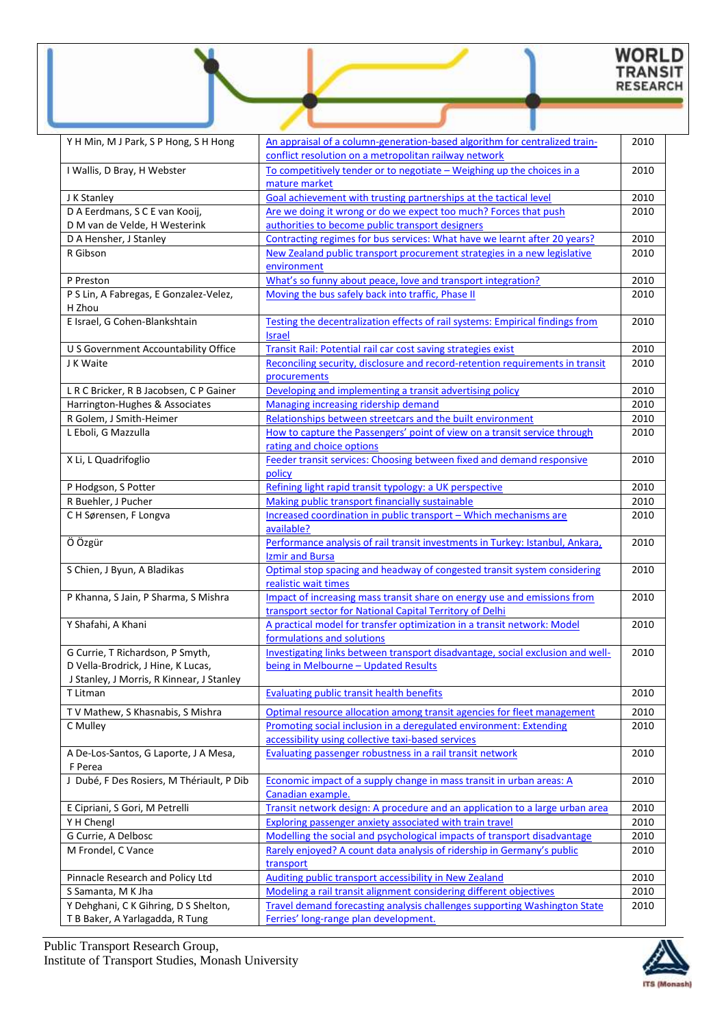# WORLD<br>TRANSIT<br>RESEARCH

| Y H Min, M J Park, S P Hong, S H Hong                                                                               | An appraisal of a column-generation-based algorithm for centralized train-<br>conflict resolution on a metropolitan railway network  | 2010 |
|---------------------------------------------------------------------------------------------------------------------|--------------------------------------------------------------------------------------------------------------------------------------|------|
| I Wallis, D Bray, H Webster                                                                                         | To competitively tender or to negotiate - Weighing up the choices in a<br>mature market                                              | 2010 |
| J K Stanley                                                                                                         | Goal achievement with trusting partnerships at the tactical level                                                                    | 2010 |
| D A Eerdmans, S C E van Kooij,                                                                                      | Are we doing it wrong or do we expect too much? Forces that push                                                                     | 2010 |
| D M van de Velde, H Westerink                                                                                       | authorities to become public transport designers                                                                                     |      |
| D A Hensher, J Stanley                                                                                              | Contracting regimes for bus services: What have we learnt after 20 years?                                                            | 2010 |
| R Gibson                                                                                                            | New Zealand public transport procurement strategies in a new legislative                                                             | 2010 |
|                                                                                                                     | environment                                                                                                                          |      |
| P Preston                                                                                                           | What's so funny about peace, love and transport integration?                                                                         | 2010 |
| P S Lin, A Fabregas, E Gonzalez-Velez,<br>H Zhou                                                                    | Moving the bus safely back into traffic, Phase II                                                                                    | 2010 |
| E Israel, G Cohen-Blankshtain                                                                                       | Testing the decentralization effects of rail systems: Empirical findings from<br><b>Israel</b>                                       | 2010 |
| U S Government Accountability Office                                                                                | Transit Rail: Potential rail car cost saving strategies exist                                                                        | 2010 |
| J K Waite                                                                                                           | Reconciling security, disclosure and record-retention requirements in transit<br>procurements                                        | 2010 |
| L R C Bricker, R B Jacobsen, C P Gainer                                                                             | Developing and implementing a transit advertising policy                                                                             | 2010 |
| Harrington-Hughes & Associates                                                                                      | Managing increasing ridership demand                                                                                                 | 2010 |
| R Golem, J Smith-Heimer                                                                                             | Relationships between streetcars and the built environment                                                                           | 2010 |
| L Eboli, G Mazzulla                                                                                                 | How to capture the Passengers' point of view on a transit service through<br>rating and choice options                               | 2010 |
| X Li, L Quadrifoglio                                                                                                | Feeder transit services: Choosing between fixed and demand responsive<br>policy                                                      | 2010 |
| P Hodgson, S Potter                                                                                                 | Refining light rapid transit typology: a UK perspective                                                                              | 2010 |
| R Buehler, J Pucher                                                                                                 | Making public transport financially sustainable                                                                                      | 2010 |
| C H Sørensen, F Longva                                                                                              | Increased coordination in public transport - Which mechanisms are<br>available?                                                      | 2010 |
| Ö Özgür                                                                                                             | Performance analysis of rail transit investments in Turkey: Istanbul, Ankara,<br>Izmir and Bursa                                     | 2010 |
| S Chien, J Byun, A Bladikas                                                                                         | Optimal stop spacing and headway of congested transit system considering<br>realistic wait times                                     | 2010 |
| P Khanna, S Jain, P Sharma, S Mishra                                                                                | Impact of increasing mass transit share on energy use and emissions from<br>transport sector for National Capital Territory of Delhi | 2010 |
| Y Shafahi, A Khani                                                                                                  | A practical model for transfer optimization in a transit network: Model<br>formulations and solutions                                | 2010 |
| G Currie, T Richardson, P Smyth,<br>D Vella-Brodrick, J Hine, K Lucas,<br>J Stanley, J Morris, R Kinnear, J Stanley | Investigating links between transport disadvantage, social exclusion and well-<br>being in Melbourne – Updated Results               | 2010 |
| T Litman                                                                                                            | Evaluating public transit health benefits                                                                                            | 2010 |
| TV Mathew, S Khasnabis, S Mishra                                                                                    | Optimal resource allocation among transit agencies for fleet management                                                              | 2010 |
| C Mulley                                                                                                            | Promoting social inclusion in a deregulated environment: Extending                                                                   | 2010 |
|                                                                                                                     | accessibility using collective taxi-based services                                                                                   |      |
| A De-Los-Santos, G Laporte, J A Mesa,<br>F Perea                                                                    | Evaluating passenger robustness in a rail transit network                                                                            | 2010 |
| J Dubé, F Des Rosiers, M Thériault, P Dib                                                                           | Economic impact of a supply change in mass transit in urban areas: A<br>Canadian example.                                            | 2010 |
| E Cipriani, S Gori, M Petrelli                                                                                      | Transit network design: A procedure and an application to a large urban area                                                         | 2010 |
| Y H Chengl                                                                                                          | <b>Exploring passenger anxiety associated with train travel</b>                                                                      | 2010 |
| G Currie, A Delbosc                                                                                                 | Modelling the social and psychological impacts of transport disadvantage                                                             | 2010 |
| M Frondel, C Vance                                                                                                  | Rarely enjoyed? A count data analysis of ridership in Germany's public<br>transport                                                  | 2010 |
| Pinnacle Research and Policy Ltd                                                                                    | Auditing public transport accessibility in New Zealand                                                                               | 2010 |
| S Samanta, M K Jha                                                                                                  | Modeling a rail transit alignment considering different objectives                                                                   | 2010 |
| Y Dehghani, C K Gihring, D S Shelton,                                                                               | <b>Travel demand forecasting analysis challenges supporting Washington State</b>                                                     | 2010 |
| T B Baker, A Yarlagadda, R Tung                                                                                     | Ferries' long-range plan development.                                                                                                |      |